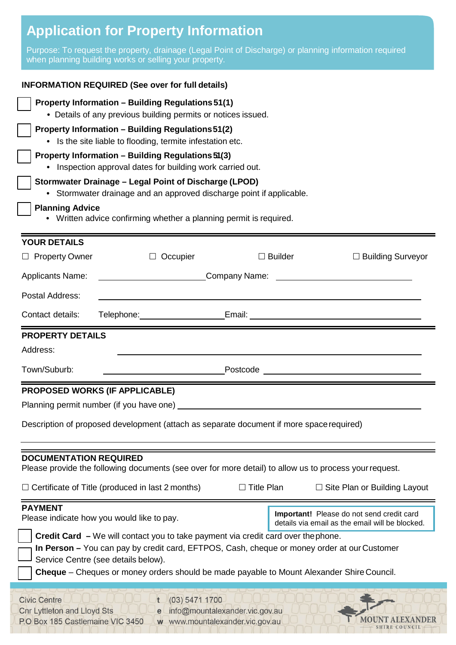# **Application for Property Information**

Purpose: To request the property, drainage (Legal Point of Discharge) or planning information required when planning building works or selling your property.

| <b>INFORMATION REQUIRED (See over for full details)</b>                                                                                                                                                                                      |                                                                                                                                                                                                                                      |                   |                                                                                              |                                     |                                                            |  |  |  |  |
|----------------------------------------------------------------------------------------------------------------------------------------------------------------------------------------------------------------------------------------------|--------------------------------------------------------------------------------------------------------------------------------------------------------------------------------------------------------------------------------------|-------------------|----------------------------------------------------------------------------------------------|-------------------------------------|------------------------------------------------------------|--|--|--|--|
| Property Information - Building Regulations 51(1)<br>• Details of any previous building permits or notices issued.<br><b>Property Information - Building Regulations 51(2)</b><br>• Is the site liable to flooding, termite infestation etc. |                                                                                                                                                                                                                                      |                   |                                                                                              |                                     |                                                            |  |  |  |  |
|                                                                                                                                                                                                                                              |                                                                                                                                                                                                                                      |                   |                                                                                              |                                     | Property Information - Building Regulations 51(3)          |  |  |  |  |
|                                                                                                                                                                                                                                              |                                                                                                                                                                                                                                      |                   |                                                                                              |                                     | • Inspection approval dates for building work carried out. |  |  |  |  |
| Stormwater Drainage - Legal Point of Discharge (LPOD)                                                                                                                                                                                        |                                                                                                                                                                                                                                      |                   |                                                                                              |                                     |                                                            |  |  |  |  |
| • Stormwater drainage and an approved discharge point if applicable.                                                                                                                                                                         |                                                                                                                                                                                                                                      |                   |                                                                                              |                                     |                                                            |  |  |  |  |
| <b>Planning Advice</b><br>• Written advice confirming whether a planning permit is required.                                                                                                                                                 |                                                                                                                                                                                                                                      |                   |                                                                                              |                                     |                                                            |  |  |  |  |
|                                                                                                                                                                                                                                              |                                                                                                                                                                                                                                      |                   |                                                                                              |                                     |                                                            |  |  |  |  |
| <b>YOUR DETAILS</b>                                                                                                                                                                                                                          |                                                                                                                                                                                                                                      |                   |                                                                                              |                                     |                                                            |  |  |  |  |
| $\Box$ Property Owner                                                                                                                                                                                                                        | $\Box$ Occupier                                                                                                                                                                                                                      |                   | $\Box$ Builder                                                                               | $\Box$ Building Surveyor            |                                                            |  |  |  |  |
| <b>Applicants Name:</b>                                                                                                                                                                                                                      | Company Name:<br><u> 1989 - Johann Barnett, fransk politiker (d. 1989)</u>                                                                                                                                                           |                   |                                                                                              |                                     |                                                            |  |  |  |  |
| Postal Address:                                                                                                                                                                                                                              |                                                                                                                                                                                                                                      |                   |                                                                                              |                                     |                                                            |  |  |  |  |
| Contact details:                                                                                                                                                                                                                             | Telephone: Email: Email: Email: Email: Email: Email: Email: Email: Email: Email: Email: Email: Email: Email: Email: Email: Email: Email: Email: Email: Email: Email: Email: Email: Email: Email: Email: Email: Email: Email: E       |                   |                                                                                              |                                     |                                                            |  |  |  |  |
| <b>PROPERTY DETAILS</b>                                                                                                                                                                                                                      |                                                                                                                                                                                                                                      |                   |                                                                                              |                                     |                                                            |  |  |  |  |
| Address:                                                                                                                                                                                                                                     |                                                                                                                                                                                                                                      |                   |                                                                                              |                                     |                                                            |  |  |  |  |
| Town/Suburb:                                                                                                                                                                                                                                 | <u>Postcode and the contract of the contract of the contract of the contract of the contract of the contract of the contract of the contract of the contract of the contract of the contract of the contract of the contract of </u> |                   |                                                                                              |                                     |                                                            |  |  |  |  |
| <b>PROPOSED WORKS (IF APPLICABLE)</b>                                                                                                                                                                                                        |                                                                                                                                                                                                                                      |                   |                                                                                              |                                     |                                                            |  |  |  |  |
| Planning permit number (if you have one)                                                                                                                                                                                                     |                                                                                                                                                                                                                                      |                   |                                                                                              |                                     |                                                            |  |  |  |  |
| Description of proposed development (attach as separate document if more space required)                                                                                                                                                     |                                                                                                                                                                                                                                      |                   |                                                                                              |                                     |                                                            |  |  |  |  |
| <b>DOCUMENTATION REQUIRED</b><br>Please provide the following documents (see over for more detail) to allow us to process your request.                                                                                                      |                                                                                                                                                                                                                                      |                   |                                                                                              |                                     |                                                            |  |  |  |  |
|                                                                                                                                                                                                                                              |                                                                                                                                                                                                                                      |                   |                                                                                              |                                     |                                                            |  |  |  |  |
|                                                                                                                                                                                                                                              | $\Box$ Certificate of Title (produced in last 2 months)                                                                                                                                                                              | $\Box$ Title Plan |                                                                                              | $\Box$ Site Plan or Building Layout |                                                            |  |  |  |  |
| <b>PAYMENT</b><br>Please indicate how you would like to pay.                                                                                                                                                                                 |                                                                                                                                                                                                                                      |                   | Important! Please do not send credit card<br>details via email as the email will be blocked. |                                     |                                                            |  |  |  |  |
| <b>Credit Card</b> – We will contact you to take payment via credit card over the phone.                                                                                                                                                     |                                                                                                                                                                                                                                      |                   |                                                                                              |                                     |                                                            |  |  |  |  |
| In Person – You can pay by credit card, EFTPOS, Cash, cheque or money order at our Customer                                                                                                                                                  |                                                                                                                                                                                                                                      |                   |                                                                                              |                                     |                                                            |  |  |  |  |
| Service Centre (see details below).<br><b>Cheque</b> – Cheques or money orders should be made payable to Mount Alexander Shire Council.                                                                                                      |                                                                                                                                                                                                                                      |                   |                                                                                              |                                     |                                                            |  |  |  |  |
|                                                                                                                                                                                                                                              |                                                                                                                                                                                                                                      |                   |                                                                                              |                                     |                                                            |  |  |  |  |
| (03) 5471 1700<br><b>Civic Centre</b><br><b>Cnr Lyttleton and Lloyd Sts</b><br>info@mountalexander.vic.gov.au<br>e<br>P.O Box 185 Castlemaine VIC 3450<br>w www.mountalexander.vic.gov.au                                                    |                                                                                                                                                                                                                                      |                   |                                                                                              |                                     |                                                            |  |  |  |  |